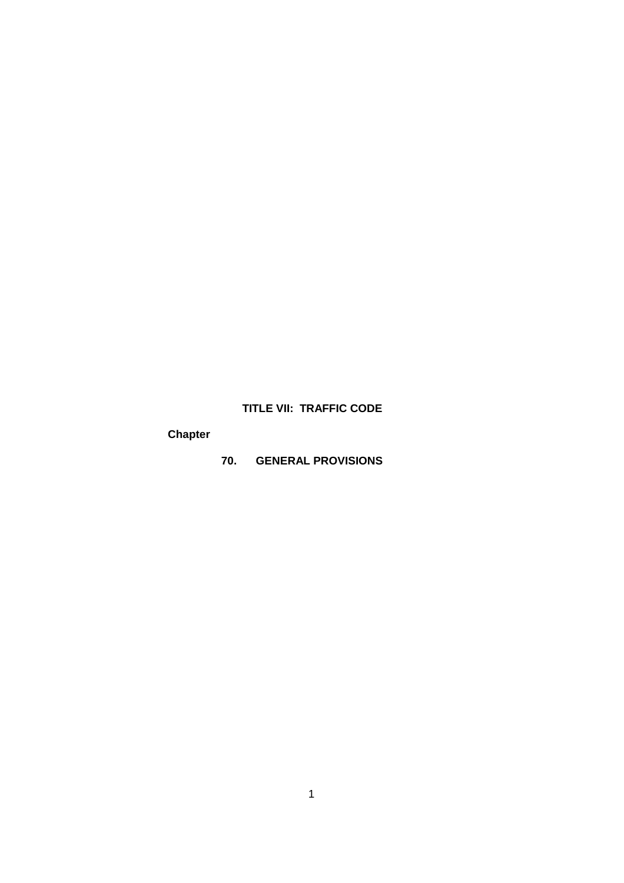## **TITLE VII: TRAFFIC CODE**

# **Chapter**

**70. GENERAL PROVISIONS**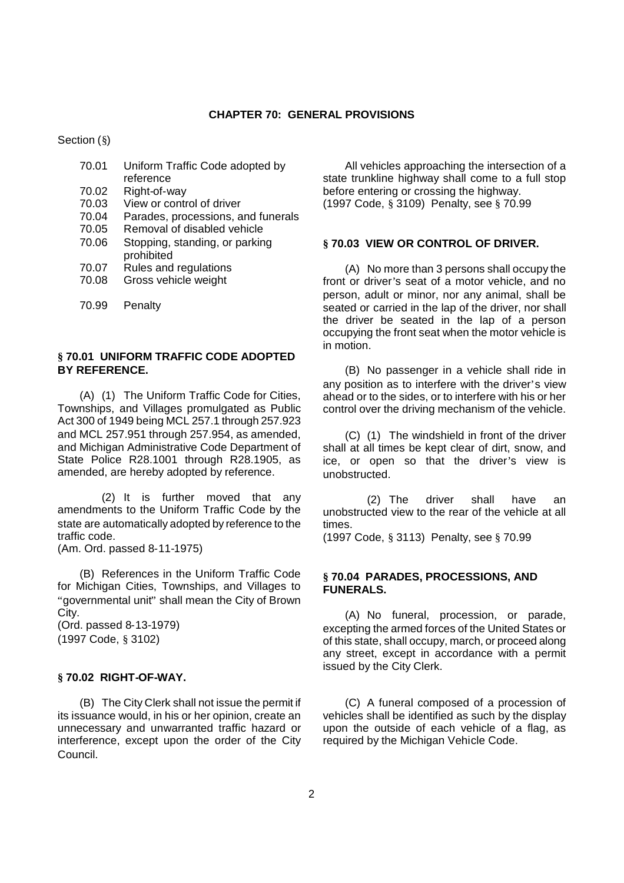Section (§)

| 70.01 | Uniform Traffic Code adopted by    |
|-------|------------------------------------|
|       | reference                          |
| 70.02 | Right-of-way                       |
| 70.03 | View or control of driver          |
| 70.04 | Parades, processions, and funerals |
| 70.05 | Removal of disabled vehicle        |
| 70.06 | Stopping, standing, or parking     |
|       | prohibited                         |
| 70.07 | Rules and regulations              |
| 70.08 | Gross vehicle weight               |

70.99 Penalty

### **§ 70.01 UNIFORM TRAFFIC CODE ADOPTED BY REFERENCE.**

(A) (1) The Uniform Traffic Code for Cities, Townships, and Villages promulgated as Public Act 300 of 1949 being MCL 257.1 through 257.923 and MCL 257.951 through 257.954, as amended, and Michigan Administrative Code Department of State Police R28.1001 through R28.1905, as amended, are hereby adopted by reference.

(2) It is further moved that any amendments to the Uniform Traffic Code by the state are automatically adopted by reference to the traffic code.

(Am. Ord. passed 8-11-1975)

(B) References in the Uniform Traffic Code for Michigan Cities, Townships, and Villages to "governmental unit" shall mean the City of Brown City.

(Ord. passed 8-13-1979) (1997 Code, § 3102)

#### **§ 70.02 RIGHT-OF-WAY.**

(B) The City Clerk shall not issue the permit if its issuance would, in his or her opinion, create an unnecessary and unwarranted traffic hazard or interference, except upon the order of the City Council.

All vehicles approaching the intersection of a state trunkline highway shall come to a full stop before entering or crossing the highway. (1997 Code, § 3109) Penalty, see § 70.99

#### **§ 70.03 VIEW OR CONTROL OF DRIVER.**

(A) No more than 3 persons shall occupy the front or driver's seat of a motor vehicle, and no person, adult or minor, nor any animal, shall be seated or carried in the lap of the driver, nor shall the driver be seated in the lap of a person occupying the front seat when the motor vehicle is in motion.

(B) No passenger in a vehicle shall ride in any position as to interfere with the driver's view ahead or to the sides, or to interfere with his or her control over the driving mechanism of the vehicle.

(C) (1) The windshield in front of the driver shall at all times be kept clear of dirt, snow, and ice, or open so that the driver's view is unobstructed.

(2) The driver shall have an unobstructed view to the rear of the vehicle at all times.

(1997 Code, § 3113) Penalty, see § 70.99

#### **§ 70.04 PARADES, PROCESSIONS, AND FUNERALS.**

(A) No funeral, procession, or parade, excepting the armed forces of the United States or of this state, shall occupy, march, or proceed along any street, except in accordance with a permit issued by the City Clerk.

(C) A funeral composed of a procession of vehicles shall be identified as such by the display upon the outside of each vehicle of a flag, as required by the Michigan Vehicle Code.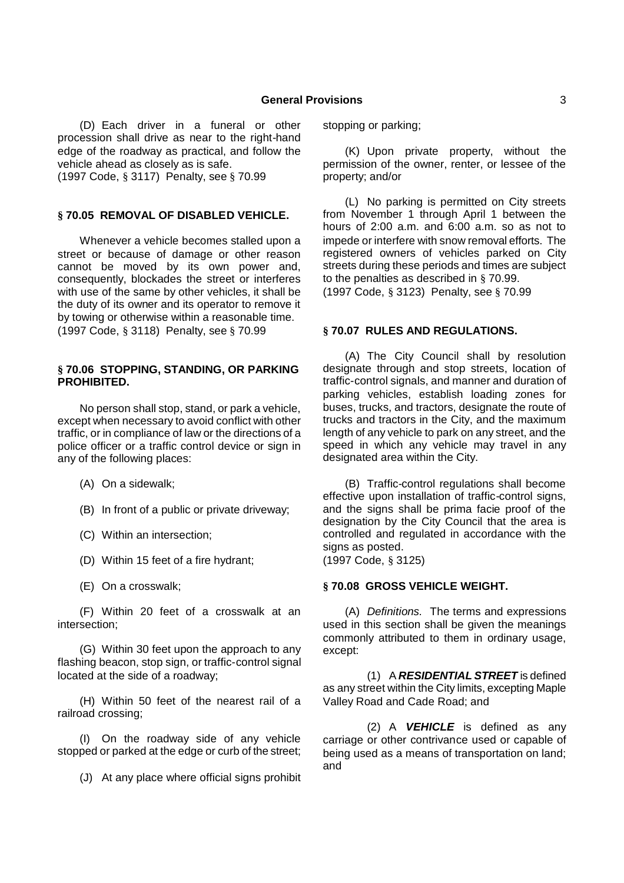(D) Each driver in a funeral or other procession shall drive as near to the right-hand edge of the roadway as practical, and follow the vehicle ahead as closely as is safe.

(1997 Code, § 3117) Penalty, see § 70.99

## **§ 70.05 REMOVAL OF DISABLED VEHICLE.**

Whenever a vehicle becomes stalled upon a street or because of damage or other reason cannot be moved by its own power and, consequently, blockades the street or interferes with use of the same by other vehicles, it shall be the duty of its owner and its operator to remove it by towing or otherwise within a reasonable time. (1997 Code, § 3118) Penalty, see § 70.99

#### **§ 70.06 STOPPING, STANDING, OR PARKING PROHIBITED.**

No person shall stop, stand, or park a vehicle, except when necessary to avoid conflict with other traffic, or in compliance of law or the directions of a police officer or a traffic control device or sign in any of the following places:

- (A) On a sidewalk;
- (B) In front of a public or private driveway;
- (C) Within an intersection;
- (D) Within 15 feet of a fire hydrant;
- (E) On a crosswalk;

(F) Within 20 feet of a crosswalk at an intersection;

(G) Within 30 feet upon the approach to any flashing beacon, stop sign, or traffic-control signal located at the side of a roadway;

(H) Within 50 feet of the nearest rail of a railroad crossing;

(I) On the roadway side of any vehicle stopped or parked at the edge or curb of the street;

(J) At any place where official signs prohibit

stopping or parking;

(K) Upon private property, without the permission of the owner, renter, or lessee of the property; and/or

(L) No parking is permitted on City streets from November 1 through April 1 between the hours of 2:00 a.m. and 6:00 a.m. so as not to impede or interfere with snow removal efforts. The registered owners of vehicles parked on City streets during these periods and times are subject to the penalties as described in § 70.99. (1997 Code, § 3123) Penalty, see § 70.99

## **§ 70.07 RULES AND REGULATIONS.**

(A) The City Council shall by resolution designate through and stop streets, location of traffic-control signals, and manner and duration of parking vehicles, establish loading zones for buses, trucks, and tractors, designate the route of trucks and tractors in the City, and the maximum length of any vehicle to park on any street, and the speed in which any vehicle may travel in any designated area within the City.

(B) Traffic-control regulations shall become effective upon installation of traffic-control signs, and the signs shall be prima facie proof of the designation by the City Council that the area is controlled and regulated in accordance with the signs as posted.

(1997 Code, § 3125)

## **§ 70.08 GROSS VEHICLE WEIGHT.**

(A) *Definitions.* The terms and expressions used in this section shall be given the meanings commonly attributed to them in ordinary usage, except:

(1) A *RESIDENTIAL STREET* is defined as any street within the City limits, excepting Maple Valley Road and Cade Road; and

(2) A *VEHICLE* is defined as any carriage or other contrivance used or capable of being used as a means of transportation on land; and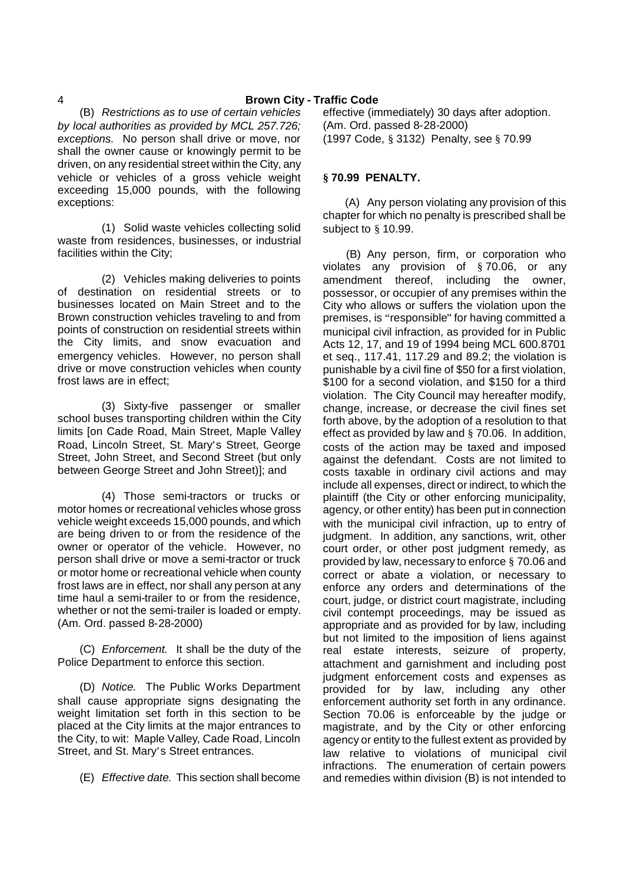(B) *Restrictions as to use of certain vehicles by local authorities as provided by MCL 257.726; exceptions.* No person shall drive or move, nor shall the owner cause or knowingly permit to be driven, on any residential street within the City, any vehicle or vehicles of a gross vehicle weight exceeding 15,000 pounds, with the following exceptions:

(1) Solid waste vehicles collecting solid waste from residences, businesses, or industrial facilities within the City;

(2) Vehicles making deliveries to points of destination on residential streets or to businesses located on Main Street and to the Brown construction vehicles traveling to and from points of construction on residential streets within the City limits, and snow evacuation and emergency vehicles. However, no person shall drive or move construction vehicles when county frost laws are in effect;

(3) Sixty-five passenger or smaller school buses transporting children within the City limits [on Cade Road, Main Street, Maple Valley Road, Lincoln Street, St. Mary's Street, George Street, John Street, and Second Street (but only between George Street and John Street)]; and

(4) Those semi-tractors or trucks or motor homes or recreational vehicles whose gross vehicle weight exceeds 15,000 pounds, and which are being driven to or from the residence of the owner or operator of the vehicle. However, no person shall drive or move a semi-tractor or truck or motor home or recreational vehicle when county frost laws are in effect, nor shall any person at any time haul a semi-trailer to or from the residence, whether or not the semi-trailer is loaded or empty. (Am. Ord. passed 8-28-2000)

(C) *Enforcement.* It shall be the duty of the Police Department to enforce this section.

(D) *Notice.* The Public Works Department shall cause appropriate signs designating the weight limitation set forth in this section to be placed at the City limits at the major entrances to the City, to wit: Maple Valley, Cade Road, Lincoln Street, and St. Mary's Street entrances.

(E) *Effective date.* This section shall become

effective (immediately) 30 days after adoption. (Am. Ord. passed 8-28-2000) (1997 Code, § 3132) Penalty, see § 70.99

## **§ 70.99 PENALTY.**

(A) Any person violating any provision of this chapter for which no penalty is prescribed shall be subject to § 10.99.

(B) Any person, firm, or corporation who violates any provision of § 70.06, or any amendment thereof, including the owner, possessor, or occupier of any premises within the City who allows or suffers the violation upon the premises, is "responsible" for having committed a municipal civil infraction, as provided for in Public Acts 12, 17, and 19 of 1994 being MCL 600.8701 et seq., 117.41, 117.29 and 89.2; the violation is punishable by a civil fine of \$50 for a first violation, \$100 for a second violation, and \$150 for a third violation. The City Council may hereafter modify, change, increase, or decrease the civil fines set forth above, by the adoption of a resolution to that effect as provided by law and § 70.06. In addition, costs of the action may be taxed and imposed against the defendant. Costs are not limited to costs taxable in ordinary civil actions and may include all expenses, direct or indirect, to which the plaintiff (the City or other enforcing municipality, agency, or other entity) has been put in connection with the municipal civil infraction, up to entry of judgment. In addition, any sanctions, writ, other court order, or other post judgment remedy, as provided by law, necessary to enforce § 70.06 and correct or abate a violation, or necessary to enforce any orders and determinations of the court, judge, or district court magistrate, including civil contempt proceedings, may be issued as appropriate and as provided for by law, including but not limited to the imposition of liens against real estate interests, seizure of property, attachment and garnishment and including post judgment enforcement costs and expenses as provided for by law, including any other enforcement authority set forth in any ordinance. Section 70.06 is enforceable by the judge or magistrate, and by the City or other enforcing agency or entity to the fullest extent as provided by law relative to violations of municipal civil infractions. The enumeration of certain powers and remedies within division (B) is not intended to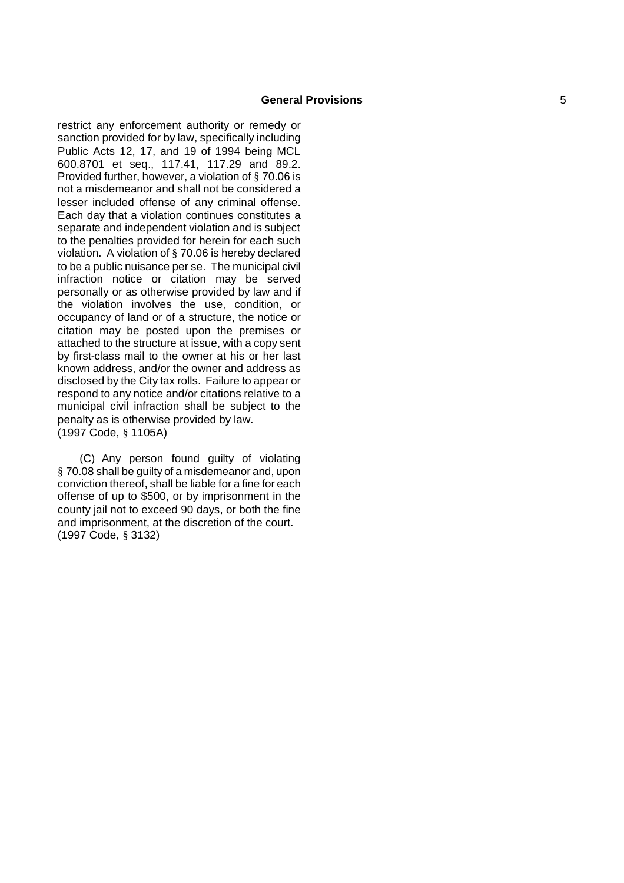restrict any enforcement authority or remedy or sanction provided for by law, specifically including Public Acts 12, 17, and 19 of 1994 being MCL 600.8701 et seq., 117.41, 117.29 and 89.2. Provided further, however, a violation of § 70.06 is not a misdemeanor and shall not be considered a lesser included offense of any criminal offense. Each day that a violation continues constitutes a separate and independent violation and is subject to the penalties provided for herein for each such violation. A violation of § 70.06 is hereby declared to be a public nuisance per se. The municipal civil infraction notice or citation may be served personally or as otherwise provided by law and if the violation involves the use, condition, or occupancy of land or of a structure, the notice or citation may be posted upon the premises or attached to the structure at issue, with a copy sent by first -class mail to the owner at his or her last known address, and/or the owner and address as disclosed by the City tax rolls. Failure to appear or respond to any notice and/or citations relative to a municipal civil infraction shall be subject to the penalty as is otherwise provided by law. (1997 Code, § 1105A)

(C) Any person found guilty of violating § 70.08 shall be guilty of a misdemeanor and, upon conviction thereof, shall be liable for a fine for each offense of up to \$500, or by imprisonment in the county jail not to exceed 90 days, or both the fine and imprisonment, at the discretion of the court. (1997 Code, § 3132)